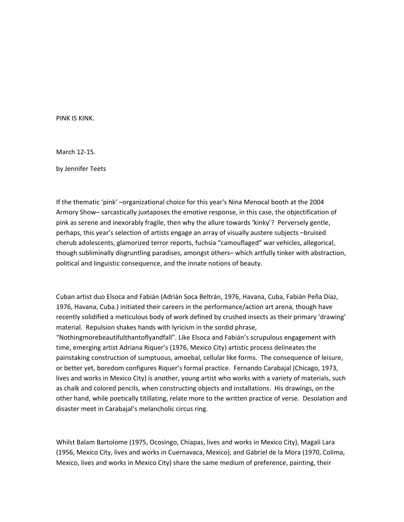PINK IS KINK.

March 12‐15.

by Jennifer Teets

If the thematic 'pink' –organizational choice for this year's Nina Menocal booth at the 2004 Armory Show– sarcastically juxtaposes the emotive response, in this case, the objectification of pink as serene and inexorably fragile, then why the allure towards 'kinky'? Perversely gentle, perhaps, this year's selection of artists engage an array of visually austere subjects –bruised cherub adolescents, glamorized terror reports, fuchsia "camouflaged" war vehicles, allegorical, though subliminally disgruntling paradises, amongst others– which artfully tinker with abstraction, political and linguistic consequence, and the innate notions of beauty.

Cuban artist duo Elsoca and Fabián (Adrián Soca Beltrán, 1976, Havana, Cuba, Fabián Peña Díaz, 1976, Havana, Cuba.) initiated their careers in the performance/action art arena, though have recently solidified a meticulous body of work defined by crushed insects as their primary 'drawing' material. Repulsion shakes hands with lyricism in the sordid phrase, "Nothingmorebeautifulthantoflyandfall". Like Elsoca and Fabián's scrupulous engagement with time, emerging artist Adriana Riquer's (1976, Mexico City) artistic process delineates the painstaking construction of sumptuous, amoebal, cellular like forms. The consequence of leisure,

or better yet, boredom configures Riquer's formal practice. Fernando Carabajal (Chicago, 1973, lives and works in Mexico City) is another, young artist who works with a variety of materials, such as chalk and colored pencils, when constructing objects and installations. His drawings, on the other hand, while poetically titillating, relate more to the written practice of verse. Desolation and disaster meet in Carabajal's melancholic circus ring.

Whilst Balam Bartolome (1975, Ocosingo, Chiapas, lives and works in Mexico City), Magali Lara (1956, Mexico City, lives and works in Cuernavaca, Mexico), and Gabriel de la Mora (1970, Colima, Mexico, lives and works in Mexico City) share the same medium of preference, painting, their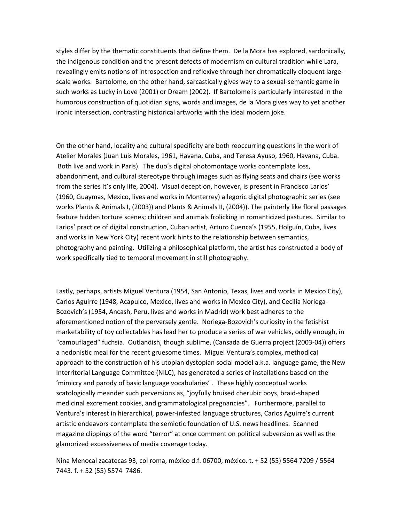styles differ by the thematic constituents that define them. De la Mora has explored, sardonically, the indigenous condition and the present defects of modernism on cultural tradition while Lara, revealingly emits notions of introspection and reflexive through her chromatically eloquent large‐ scale works. Bartolome, on the other hand, sarcastically gives way to a sexual-semantic game in such works as Lucky in Love (2001) or Dream (2002). If Bartolome is particularly interested in the humorous construction of quotidian signs, words and images, de la Mora gives way to yet another ironic intersection, contrasting historical artworks with the ideal modern joke.

On the other hand, locality and cultural specificity are both reoccurring questions in the work of Atelier Morales (Juan Luis Morales, 1961, Havana, Cuba, and Teresa Ayuso, 1960, Havana, Cuba. Both live and work in Paris). The duo's digital photomontage works contemplate loss, abandonment, and cultural stereotype through images such as flying seats and chairs (see works from the series It's only life, 2004). Visual deception, however, is present in Francisco Larios' (1960, Guaymas, Mexico, lives and works in Monterrey) allegoric digital photographic series (see works Plants & Animals I, (2003)) and Plants & Animals II, (2004)). The painterly like floral passages feature hidden torture scenes; children and animals frolicking in romanticized pastures. Similar to Larios' practice of digital construction, Cuban artist, Arturo Cuenca's (1955, Holguín, Cuba, lives and works in New York City) recent work hints to the relationship between semantics, photography and painting. Utilizing a philosophical platform, the artist has constructed a body of work specifically tied to temporal movement in still photography.

Lastly, perhaps, artists Miguel Ventura (1954, San Antonio, Texas, lives and works in Mexico City), Carlos Aguirre (1948, Acapulco, Mexico, lives and works in Mexico City), and Cecilia Noriega‐ Bozovich's (1954, Ancash, Peru, lives and works in Madrid) work best adheres to the aforementioned notion of the perversely gentle. Noriega‐Bozovich's curiosity in the fetishist marketability of toy collectables has lead her to produce a series of war vehicles, oddly enough, in "camouflaged" fuchsia. Outlandish, though sublime, (Cansada de Guerra project (2003‐04)) offers a hedonistic meal for the recent gruesome times. Miguel Ventura's complex, methodical approach to the construction of his utopian dystopian social model a.k.a. language game, the New Interritorial Language Committee (NILC), has generated a series of installations based on the 'mimicry and parody of basic language vocabularies' . These highly conceptual works scatologically meander such perversions as, "joyfully bruised cherubic boys, braid‐shaped medicinal excrement cookies, and grammatological pregnancies". Furthermore, parallel to Ventura's interest in hierarchical, power‐infested language structures, Carlos Aguirre's current artistic endeavors contemplate the semiotic foundation of U.S. news headlines. Scanned magazine clippings of the word "terror" at once comment on political subversion as well as the glamorized excessiveness of media coverage today.

Nina Menocal zacatecas 93, col roma, méxico d.f. 06700, méxico. t. + 52 (55) 5564 7209 / 5564 7443. f. + 52 (55) 5574 7486.